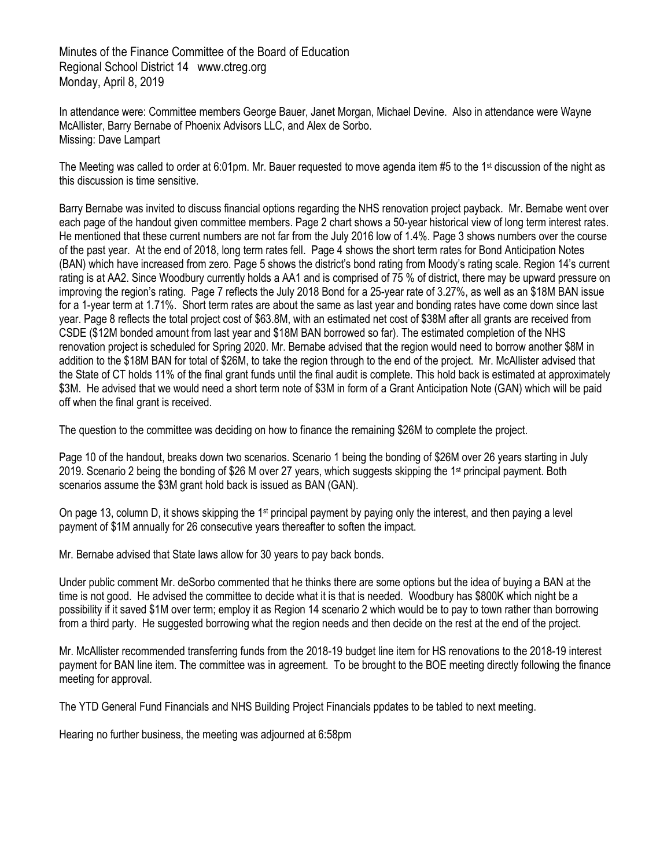Minutes of the Finance Committee of the Board of Education Regional School District 14 www.ctreg.org Monday, April 8, 2019

In attendance were: Committee members George Bauer, Janet Morgan, Michael Devine. Also in attendance were Wayne McAllister, Barry Bernabe of Phoenix Advisors LLC, and Alex de Sorbo. Missing: Dave Lampart

The Meeting was called to order at 6:01pm. Mr. Bauer requested to move agenda item #5 to the 1st discussion of the night as this discussion is time sensitive.

Barry Bernabe was invited to discuss financial options regarding the NHS renovation project payback. Mr. Bernabe went over each page of the handout given committee members. Page 2 chart shows a 50-year historical view of long term interest rates. He mentioned that these current numbers are not far from the July 2016 low of 1.4%. Page 3 shows numbers over the course of the past year. At the end of 2018, long term rates fell. Page 4 shows the short term rates for Bond Anticipation Notes (BAN) which have increased from zero. Page 5 shows the district's bond rating from Moody's rating scale. Region 14's current rating is at AA2. Since Woodbury currently holds a AA1 and is comprised of 75 % of district, there may be upward pressure on improving the region's rating. Page 7 reflects the July 2018 Bond for a 25-year rate of 3.27%, as well as an \$18M BAN issue for a 1-year term at 1.71%. Short term rates are about the same as last year and bonding rates have come down since last year. Page 8 reflects the total project cost of \$63.8M, with an estimated net cost of \$38M after all grants are received from CSDE (\$12M bonded amount from last year and \$18M BAN borrowed so far). The estimated completion of the NHS renovation project is scheduled for Spring 2020. Mr. Bernabe advised that the region would need to borrow another \$8M in addition to the \$18M BAN for total of \$26M, to take the region through to the end of the project. Mr. McAllister advised that the State of CT holds 11% of the final grant funds until the final audit is complete. This hold back is estimated at approximately \$3M. He advised that we would need a short term note of \$3M in form of a Grant Anticipation Note (GAN) which will be paid off when the final grant is received.

The question to the committee was deciding on how to finance the remaining \$26M to complete the project.

Page 10 of the handout, breaks down two scenarios. Scenario 1 being the bonding of \$26M over 26 years starting in July 2019. Scenario 2 being the bonding of \$26 M over 27 years, which suggests skipping the 1st principal payment. Both scenarios assume the \$3M grant hold back is issued as BAN (GAN).

On page 13, column D, it shows skipping the 1<sup>st</sup> principal payment by paying only the interest, and then paying a level payment of \$1M annually for 26 consecutive years thereafter to soften the impact.

Mr. Bernabe advised that State laws allow for 30 years to pay back bonds.

Under public comment Mr. deSorbo commented that he thinks there are some options but the idea of buying a BAN at the time is not good. He advised the committee to decide what it is that is needed. Woodbury has \$800K which night be a possibility if it saved \$1M over term; employ it as Region 14 scenario 2 which would be to pay to town rather than borrowing from a third party. He suggested borrowing what the region needs and then decide on the rest at the end of the project.

Mr. McAllister recommended transferring funds from the 2018-19 budget line item for HS renovations to the 2018-19 interest payment for BAN line item. The committee was in agreement. To be brought to the BOE meeting directly following the finance meeting for approval.

The YTD General Fund Financials and NHS Building Project Financials ppdates to be tabled to next meeting.

Hearing no further business, the meeting was adjourned at 6:58pm